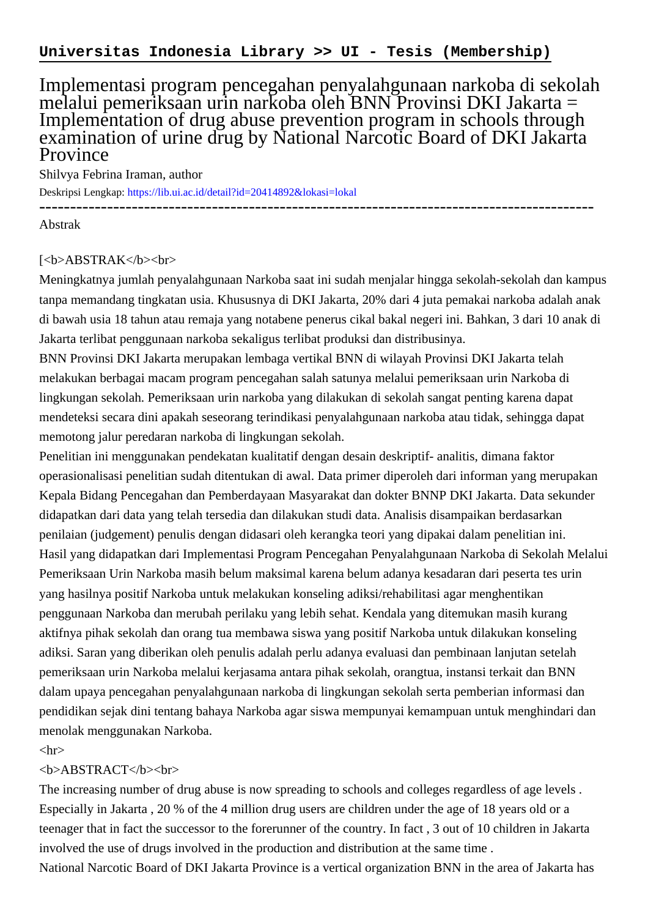## Implementasi program pencegahan penyalahgunaan narkoba di sekolah melalui pemeriksaan urin narkoba oleh BNN Provinsi DKI Jakarta = Implementation of drug abuse prevention program in schools through examination of urine drug by National Narcotic Board of DKI Jakarta Province

Shilvya Febrina Iraman, author

Deskripsi Lengkap:<https://lib.ui.ac.id/detail?id=20414892&lokasi=lokal>

------------------------------------------------------------------------------------------ Abstrak

## [<b>ABSTRAK</b><br>

Meningkatnya jumlah penyalahgunaan Narkoba saat ini sudah menjalar hingga sekolah-sekolah dan kampus tanpa memandang tingkatan usia. Khususnya di DKI Jakarta, 20% dari 4 juta pemakai narkoba adalah anak di bawah usia 18 tahun atau remaja yang notabene penerus cikal bakal negeri ini. Bahkan, 3 dari 10 anak di Jakarta terlibat penggunaan narkoba sekaligus terlibat produksi dan distribusinya.

BNN Provinsi DKI Jakarta merupakan lembaga vertikal BNN di wilayah Provinsi DKI Jakarta telah melakukan berbagai macam program pencegahan salah satunya melalui pemeriksaan urin Narkoba di lingkungan sekolah. Pemeriksaan urin narkoba yang dilakukan di sekolah sangat penting karena dapat mendeteksi secara dini apakah seseorang terindikasi penyalahgunaan narkoba atau tidak, sehingga dapat memotong jalur peredaran narkoba di lingkungan sekolah.

Penelitian ini menggunakan pendekatan kualitatif dengan desain deskriptif- analitis, dimana faktor operasionalisasi penelitian sudah ditentukan di awal. Data primer diperoleh dari informan yang merupakan Kepala Bidang Pencegahan dan Pemberdayaan Masyarakat dan dokter BNNP DKI Jakarta. Data sekunder didapatkan dari data yang telah tersedia dan dilakukan studi data. Analisis disampaikan berdasarkan penilaian (judgement) penulis dengan didasari oleh kerangka teori yang dipakai dalam penelitian ini. Hasil yang didapatkan dari Implementasi Program Pencegahan Penyalahgunaan Narkoba di Sekolah Melalui Pemeriksaan Urin Narkoba masih belum maksimal karena belum adanya kesadaran dari peserta tes urin yang hasilnya positif Narkoba untuk melakukan konseling adiksi/rehabilitasi agar menghentikan penggunaan Narkoba dan merubah perilaku yang lebih sehat. Kendala yang ditemukan masih kurang aktifnya pihak sekolah dan orang tua membawa siswa yang positif Narkoba untuk dilakukan konseling adiksi. Saran yang diberikan oleh penulis adalah perlu adanya evaluasi dan pembinaan lanjutan setelah pemeriksaan urin Narkoba melalui kerjasama antara pihak sekolah, orangtua, instansi terkait dan BNN dalam upaya pencegahan penyalahgunaan narkoba di lingkungan sekolah serta pemberian informasi dan pendidikan sejak dini tentang bahaya Narkoba agar siswa mempunyai kemampuan untuk menghindari dan menolak menggunakan Narkoba.

## $\langle$ hr $>$

## <b>ABSTRACT</b><br>

The increasing number of drug abuse is now spreading to schools and colleges regardless of age levels . Especially in Jakarta , 20 % of the 4 million drug users are children under the age of 18 years old or a teenager that in fact the successor to the forerunner of the country. In fact , 3 out of 10 children in Jakarta involved the use of drugs involved in the production and distribution at the same time . National Narcotic Board of DKI Jakarta Province is a vertical organization BNN in the area of Jakarta has